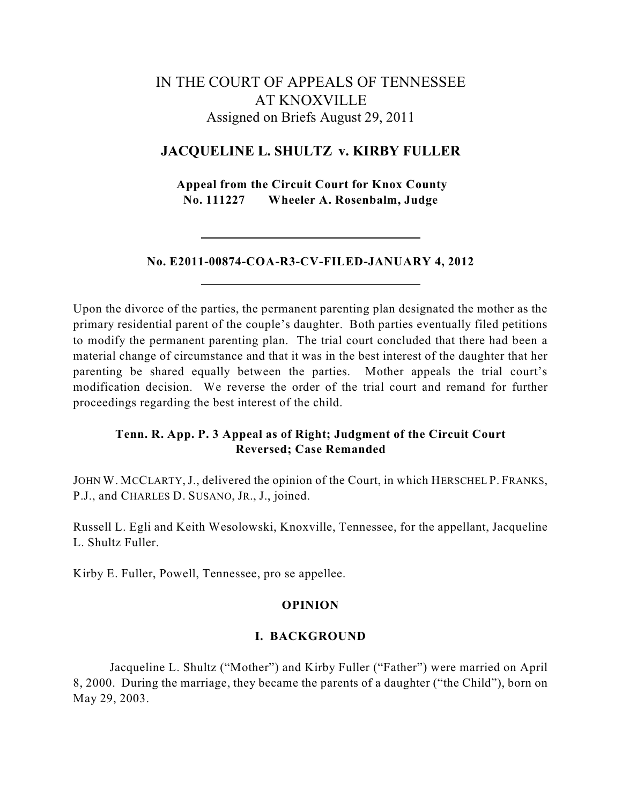# IN THE COURT OF APPEALS OF TENNESSEE AT KNOXVILLE Assigned on Briefs August 29, 2011

## **JACQUELINE L. SHULTZ v. KIRBY FULLER**

**Appeal from the Circuit Court for Knox County No. 111227 Wheeler A. Rosenbalm, Judge**

### **No. E2011-00874-COA-R3-CV-FILED-JANUARY 4, 2012**

Upon the divorce of the parties, the permanent parenting plan designated the mother as the primary residential parent of the couple's daughter. Both parties eventually filed petitions to modify the permanent parenting plan. The trial court concluded that there had been a material change of circumstance and that it was in the best interest of the daughter that her parenting be shared equally between the parties. Mother appeals the trial court's modification decision. We reverse the order of the trial court and remand for further proceedings regarding the best interest of the child.

## **Tenn. R. App. P. 3 Appeal as of Right; Judgment of the Circuit Court Reversed; Case Remanded**

JOHN W. MCCLARTY, J., delivered the opinion of the Court, in which HERSCHEL P. FRANKS, P.J., and CHARLES D. SUSANO, JR., J., joined.

Russell L. Egli and Keith Wesolowski, Knoxville, Tennessee, for the appellant, Jacqueline L. Shultz Fuller.

Kirby E. Fuller, Powell, Tennessee, pro se appellee.

## **OPINION**

### **I. BACKGROUND**

Jacqueline L. Shultz ("Mother") and Kirby Fuller ("Father") were married on April 8, 2000. During the marriage, they became the parents of a daughter ("the Child"), born on May 29, 2003.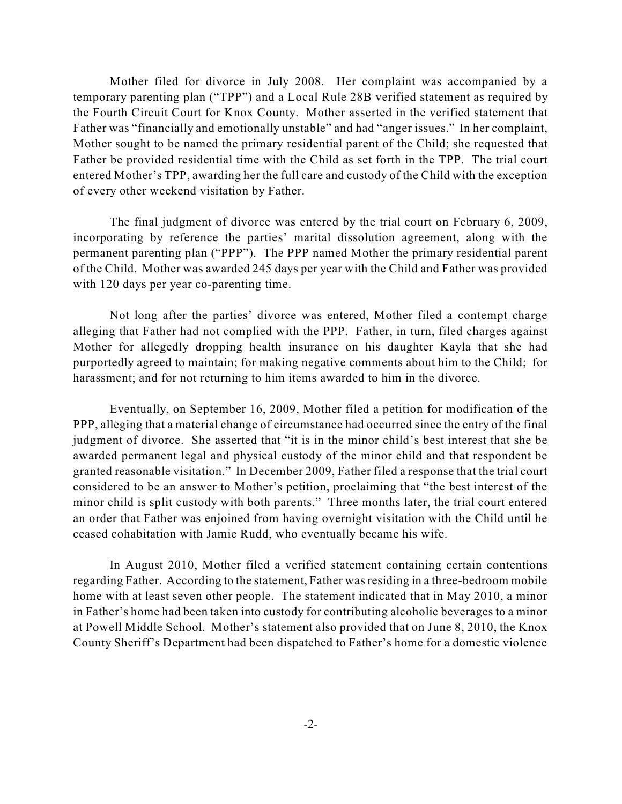Mother filed for divorce in July 2008. Her complaint was accompanied by a temporary parenting plan ("TPP") and a Local Rule 28B verified statement as required by the Fourth Circuit Court for Knox County. Mother asserted in the verified statement that Father was "financially and emotionally unstable" and had "anger issues." In her complaint, Mother sought to be named the primary residential parent of the Child; she requested that Father be provided residential time with the Child as set forth in the TPP. The trial court entered Mother's TPP, awarding her the full care and custody of the Child with the exception of every other weekend visitation by Father.

The final judgment of divorce was entered by the trial court on February 6, 2009, incorporating by reference the parties' marital dissolution agreement, along with the permanent parenting plan ("PPP"). The PPP named Mother the primary residential parent of the Child. Mother was awarded 245 days per year with the Child and Father was provided with 120 days per year co-parenting time.

Not long after the parties' divorce was entered, Mother filed a contempt charge alleging that Father had not complied with the PPP. Father, in turn, filed charges against Mother for allegedly dropping health insurance on his daughter Kayla that she had purportedly agreed to maintain; for making negative comments about him to the Child; for harassment; and for not returning to him items awarded to him in the divorce.

Eventually, on September 16, 2009, Mother filed a petition for modification of the PPP, alleging that a material change of circumstance had occurred since the entry of the final judgment of divorce. She asserted that "it is in the minor child's best interest that she be awarded permanent legal and physical custody of the minor child and that respondent be granted reasonable visitation." In December 2009, Father filed a response that the trial court considered to be an answer to Mother's petition, proclaiming that "the best interest of the minor child is split custody with both parents." Three months later, the trial court entered an order that Father was enjoined from having overnight visitation with the Child until he ceased cohabitation with Jamie Rudd, who eventually became his wife.

In August 2010, Mother filed a verified statement containing certain contentions regarding Father. According to the statement, Father wasresiding in a three-bedroom mobile home with at least seven other people. The statement indicated that in May 2010, a minor in Father's home had been taken into custody for contributing alcoholic beverages to a minor at Powell Middle School. Mother's statement also provided that on June 8, 2010, the Knox County Sheriff's Department had been dispatched to Father's home for a domestic violence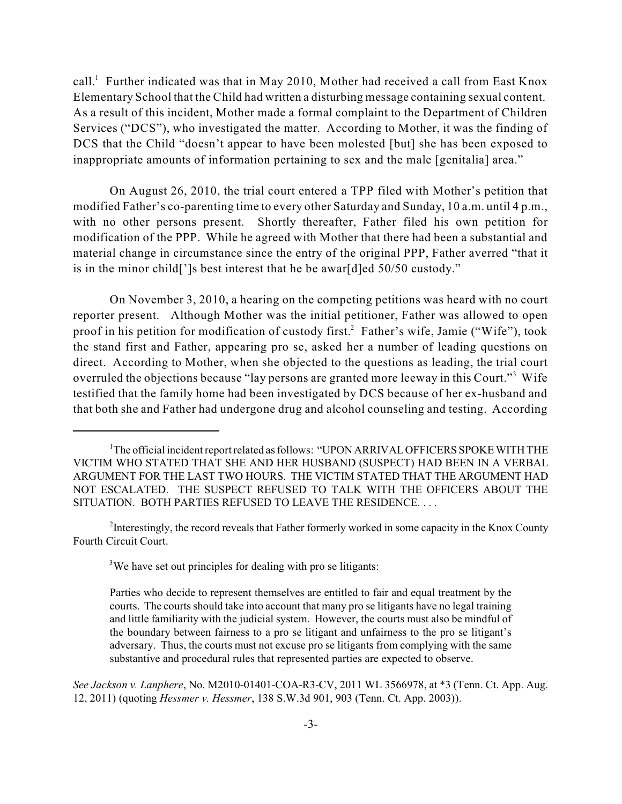call.<sup>1</sup> Further indicated was that in May 2010, Mother had received a call from East Knox Elementary School that the Child had written a disturbing message containing sexual content. As a result of this incident, Mother made a formal complaint to the Department of Children Services ("DCS"), who investigated the matter. According to Mother, it was the finding of DCS that the Child "doesn't appear to have been molested [but] she has been exposed to inappropriate amounts of information pertaining to sex and the male [genitalia] area."

On August 26, 2010, the trial court entered a TPP filed with Mother's petition that modified Father's co-parenting time to every other Saturday and Sunday, 10 a.m. until 4 p.m., with no other persons present. Shortly thereafter, Father filed his own petition for modification of the PPP. While he agreed with Mother that there had been a substantial and material change in circumstance since the entry of the original PPP, Father averred "that it is in the minor child[']s best interest that he be awar[d]ed 50/50 custody."

On November 3, 2010, a hearing on the competing petitions was heard with no court reporter present. Although Mother was the initial petitioner, Father was allowed to open proof in his petition for modification of custody first.<sup>2</sup> Father's wife, Jamie ("Wife"), took the stand first and Father, appearing pro se, asked her a number of leading questions on direct. According to Mother, when she objected to the questions as leading, the trial court overruled the objections because "lay persons are granted more leeway in this Court."<sup>3</sup> Wife testified that the family home had been investigated by DCS because of her ex-husband and that both she and Father had undergone drug and alcohol counseling and testing. According

 $2$ Interestingly, the record reveals that Father formerly worked in some capacity in the Knox County Fourth Circuit Court.

 $3$ We have set out principles for dealing with pro se litigants:

*See Jackson v. Lanphere*, No. M2010-01401-COA-R3-CV, 2011 WL 3566978, at \*3 (Tenn. Ct. App. Aug. 12, 2011) (quoting *Hessmer v. Hessmer*, 138 S.W.3d 901, 903 (Tenn. Ct. App. 2003)).

 $1$ <sup>1</sup>The official incident report related as follows: "UPON ARRIVAL OFFICERS SPOKE WITH THE VICTIM WHO STATED THAT SHE AND HER HUSBAND (SUSPECT) HAD BEEN IN A VERBAL ARGUMENT FOR THE LAST TWO HOURS. THE VICTIM STATED THAT THE ARGUMENT HAD NOT ESCALATED. THE SUSPECT REFUSED TO TALK WITH THE OFFICERS ABOUT THE SITUATION. BOTH PARTIES REFUSED TO LEAVE THE RESIDENCE. . . .

Parties who decide to represent themselves are entitled to fair and equal treatment by the courts. The courts should take into account that many pro se litigants have no legal training and little familiarity with the judicial system. However, the courts must also be mindful of the boundary between fairness to a pro se litigant and unfairness to the pro se litigant's adversary. Thus, the courts must not excuse pro se litigants from complying with the same substantive and procedural rules that represented parties are expected to observe.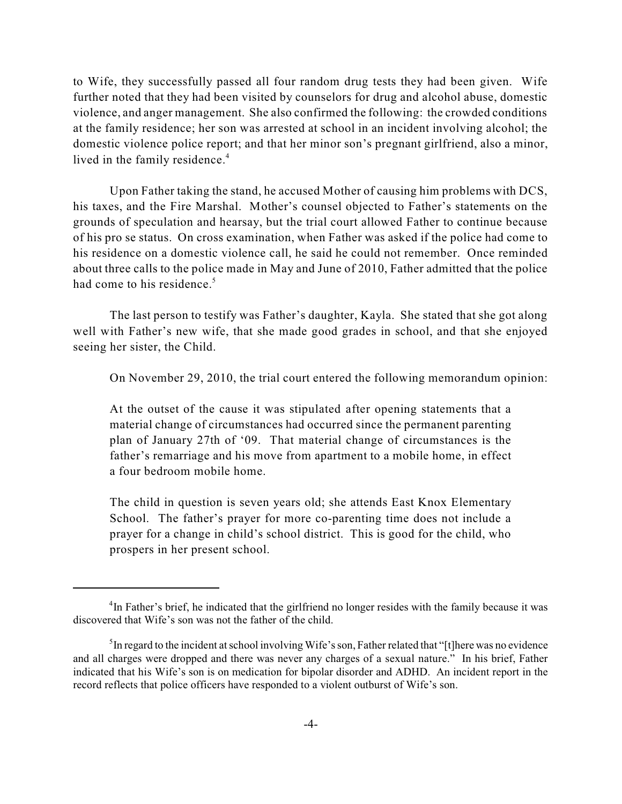to Wife, they successfully passed all four random drug tests they had been given. Wife further noted that they had been visited by counselors for drug and alcohol abuse, domestic violence, and anger management. She also confirmed the following: the crowded conditions at the family residence; her son was arrested at school in an incident involving alcohol; the domestic violence police report; and that her minor son's pregnant girlfriend, also a minor, lived in the family residence. 4

Upon Father taking the stand, he accused Mother of causing him problems with DCS, his taxes, and the Fire Marshal. Mother's counsel objected to Father's statements on the grounds of speculation and hearsay, but the trial court allowed Father to continue because of his pro se status. On cross examination, when Father was asked if the police had come to his residence on a domestic violence call, he said he could not remember. Once reminded about three calls to the police made in May and June of 2010, Father admitted that the police had come to his residence.<sup>5</sup>

The last person to testify was Father's daughter, Kayla. She stated that she got along well with Father's new wife, that she made good grades in school, and that she enjoyed seeing her sister, the Child.

On November 29, 2010, the trial court entered the following memorandum opinion:

At the outset of the cause it was stipulated after opening statements that a material change of circumstances had occurred since the permanent parenting plan of January 27th of '09. That material change of circumstances is the father's remarriage and his move from apartment to a mobile home, in effect a four bedroom mobile home.

The child in question is seven years old; she attends East Knox Elementary School. The father's prayer for more co-parenting time does not include a prayer for a change in child's school district. This is good for the child, who prospers in her present school.

<sup>&</sup>lt;sup>4</sup>In Father's brief, he indicated that the girlfriend no longer resides with the family because it was discovered that Wife's son was not the father of the child.

 $<sup>5</sup>$ In regard to the incident at school involving Wife's son, Father related that "[t]here was no evidence</sup> and all charges were dropped and there was never any charges of a sexual nature." In his brief, Father indicated that his Wife's son is on medication for bipolar disorder and ADHD. An incident report in the record reflects that police officers have responded to a violent outburst of Wife's son.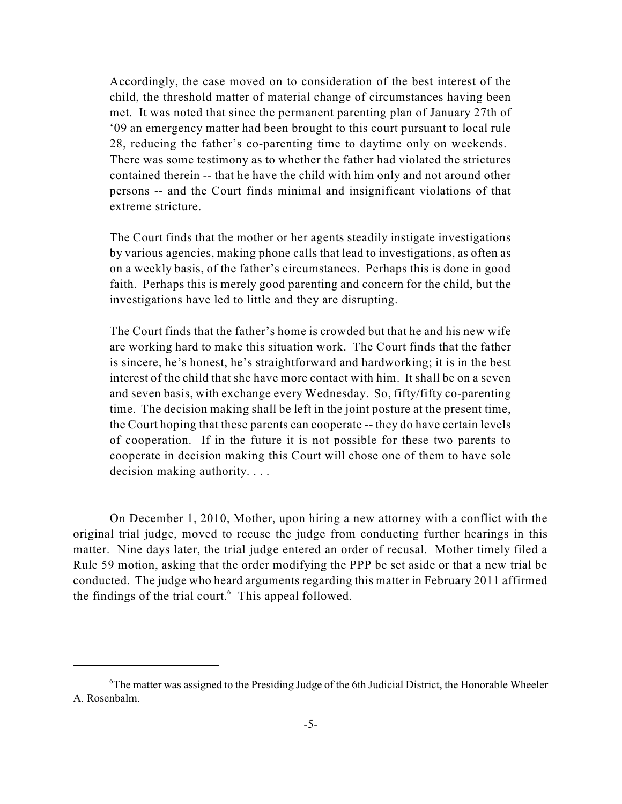Accordingly, the case moved on to consideration of the best interest of the child, the threshold matter of material change of circumstances having been met. It was noted that since the permanent parenting plan of January 27th of '09 an emergency matter had been brought to this court pursuant to local rule 28, reducing the father's co-parenting time to daytime only on weekends. There was some testimony as to whether the father had violated the strictures contained therein -- that he have the child with him only and not around other persons -- and the Court finds minimal and insignificant violations of that extreme stricture.

The Court finds that the mother or her agents steadily instigate investigations by various agencies, making phone calls that lead to investigations, as often as on a weekly basis, of the father's circumstances. Perhaps this is done in good faith. Perhaps this is merely good parenting and concern for the child, but the investigations have led to little and they are disrupting.

The Court finds that the father's home is crowded but that he and his new wife are working hard to make this situation work. The Court finds that the father is sincere, he's honest, he's straightforward and hardworking; it is in the best interest of the child that she have more contact with him. It shall be on a seven and seven basis, with exchange every Wednesday. So, fifty/fifty co-parenting time. The decision making shall be left in the joint posture at the present time, the Court hoping that these parents can cooperate -- they do have certain levels of cooperation. If in the future it is not possible for these two parents to cooperate in decision making this Court will chose one of them to have sole decision making authority. . . .

On December 1, 2010, Mother, upon hiring a new attorney with a conflict with the original trial judge, moved to recuse the judge from conducting further hearings in this matter. Nine days later, the trial judge entered an order of recusal. Mother timely filed a Rule 59 motion, asking that the order modifying the PPP be set aside or that a new trial be conducted. The judge who heard arguments regarding this matter in February 2011 affirmed the findings of the trial court. $6$  This appeal followed.

 ${}^{6}$ The matter was assigned to the Presiding Judge of the 6th Judicial District, the Honorable Wheeler A. Rosenbalm.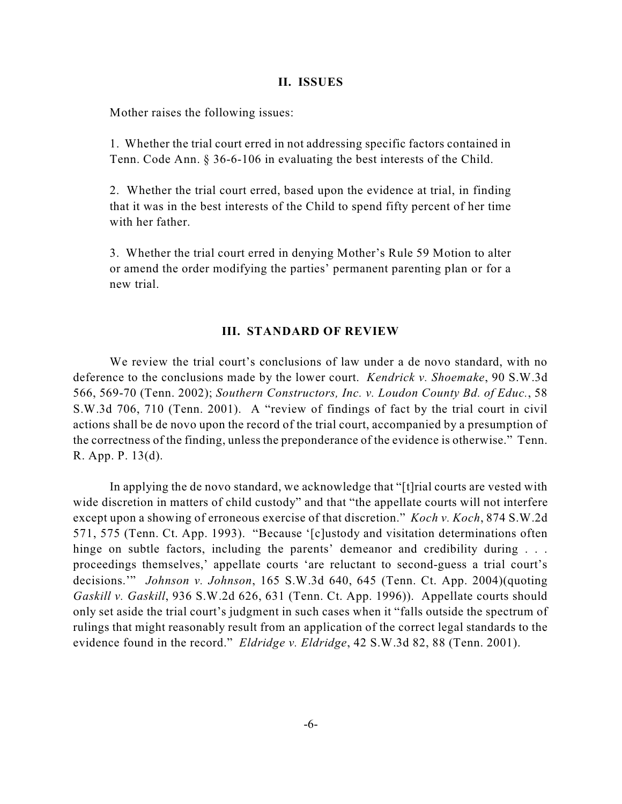#### **II. ISSUES**

Mother raises the following issues:

1. Whether the trial court erred in not addressing specific factors contained in Tenn. Code Ann. § 36-6-106 in evaluating the best interests of the Child.

2. Whether the trial court erred, based upon the evidence at trial, in finding that it was in the best interests of the Child to spend fifty percent of her time with her father.

3. Whether the trial court erred in denying Mother's Rule 59 Motion to alter or amend the order modifying the parties' permanent parenting plan or for a new trial.

#### **III. STANDARD OF REVIEW**

We review the trial court's conclusions of law under a de novo standard, with no deference to the conclusions made by the lower court. *Kendrick v. Shoemake*, 90 S.W.3d 566, 569-70 (Tenn. 2002); *Southern Constructors, Inc. v. Loudon County Bd. of Educ.*, 58 S.W.3d 706, 710 (Tenn. 2001). A "review of findings of fact by the trial court in civil actions shall be de novo upon the record of the trial court, accompanied by a presumption of the correctness of the finding, unless the preponderance of the evidence is otherwise." Tenn. R. App. P. 13(d).

In applying the de novo standard, we acknowledge that "[t]rial courts are vested with wide discretion in matters of child custody" and that "the appellate courts will not interfere except upon a showing of erroneous exercise of that discretion." *Koch v. Koch*, 874 S.W.2d 571, 575 (Tenn. Ct. App. 1993). "Because '[c]ustody and visitation determinations often hinge on subtle factors, including the parents' demeanor and credibility during . . . proceedings themselves,' appellate courts 'are reluctant to second-guess a trial court's decisions.'" *Johnson v. Johnson*, 165 S.W.3d 640, 645 (Tenn. Ct. App. 2004)(quoting *Gaskill v. Gaskill*, 936 S.W.2d 626, 631 (Tenn. Ct. App. 1996)). Appellate courts should only set aside the trial court's judgment in such cases when it "falls outside the spectrum of rulings that might reasonably result from an application of the correct legal standards to the evidence found in the record." *Eldridge v. Eldridge*, 42 S.W.3d 82, 88 (Tenn. 2001).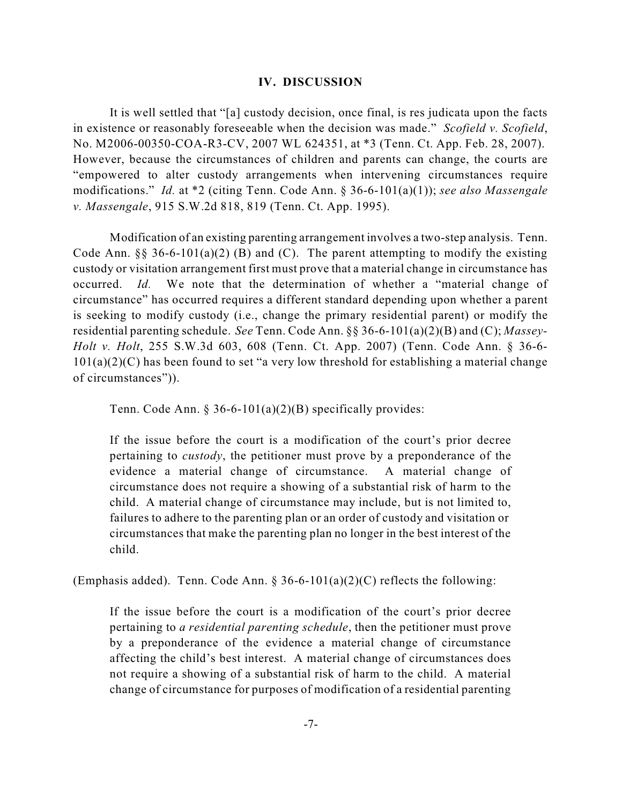#### **IV. DISCUSSION**

It is well settled that "[a] custody decision, once final, is res judicata upon the facts in existence or reasonably foreseeable when the decision was made." *Scofield v. Scofield*, No. M2006-00350-COA-R3-CV, 2007 WL 624351, at \*3 (Tenn. Ct. App. Feb. 28, 2007). However, because the circumstances of children and parents can change, the courts are "empowered to alter custody arrangements when intervening circumstances require modifications." *Id.* at \*2 (citing Tenn. Code Ann. § 36-6-101(a)(1)); *see also Massengale v. Massengale*, 915 S.W.2d 818, 819 (Tenn. Ct. App. 1995).

Modification of an existing parenting arrangement involves a two-step analysis. Tenn. Code Ann.  $\S 36-6-101(a)(2)$  (B) and (C). The parent attempting to modify the existing custody or visitation arrangement first must prove that a material change in circumstance has occurred. *Id.* We note that the determination of whether a "material change of circumstance" has occurred requires a different standard depending upon whether a parent is seeking to modify custody (i.e., change the primary residential parent) or modify the residential parenting schedule. *See* Tenn. Code Ann. §§ 36-6-101(a)(2)(B) and (C); *Massey-Holt v. Holt*, 255 S.W.3d 603, 608 (Tenn. Ct. App. 2007) (Tenn. Code Ann. § 36-6-  $101(a)(2)(C)$  has been found to set "a very low threshold for establishing a material change of circumstances")).

Tenn. Code Ann. § 36-6-101(a)(2)(B) specifically provides:

If the issue before the court is a modification of the court's prior decree pertaining to *custody*, the petitioner must prove by a preponderance of the evidence a material change of circumstance. A material change of circumstance does not require a showing of a substantial risk of harm to the child. A material change of circumstance may include, but is not limited to, failures to adhere to the parenting plan or an order of custody and visitation or circumstances that make the parenting plan no longer in the best interest of the child.

(Emphasis added). Tenn. Code Ann. § 36-6-101(a)(2)(C) reflects the following:

If the issue before the court is a modification of the court's prior decree pertaining to *a residential parenting schedule*, then the petitioner must prove by a preponderance of the evidence a material change of circumstance affecting the child's best interest. A material change of circumstances does not require a showing of a substantial risk of harm to the child. A material change of circumstance for purposes of modification of a residential parenting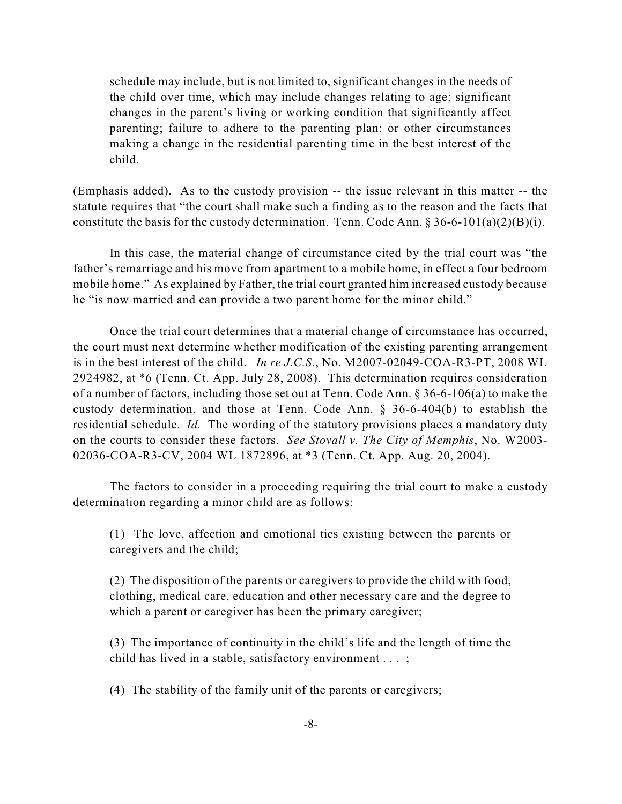schedule may include, but is not limited to, significant changes in the needs of the child over time, which may include changes relating to age; significant changes in the parent's living or working condition that significantly affect parenting; failure to adhere to the parenting plan; or other circumstances making a change in the residential parenting time in the best interest of the child.

(Emphasis added). As to the custody provision -- the issue relevant in this matter -- the statute requires that "the court shall make such a finding as to the reason and the facts that constitute the basis for the custody determination. Tenn. Code Ann.  $\S 36-6-101(a)(2)(B)(i)$ .

In this case, the material change of circumstance cited by the trial court was "the father's remarriage and his move from apartment to a mobile home, in effect a four bedroom mobile home." As explained by Father, the trial court granted him increased custody because he "is now married and can provide a two parent home for the minor child."

Once the trial court determines that a material change of circumstance has occurred, the court must next determine whether modification of the existing parenting arrangement is in the best interest of the child. *In re J.C.S.*, No. M2007-02049-COA-R3-PT, 2008 WL 2924982, at \*6 (Tenn. Ct. App. July 28, 2008). This determination requires consideration of a number of factors, including those set out at Tenn. Code Ann. § 36-6-106(a) to make the custody determination, and those at Tenn. Code Ann. § 36-6-404(b) to establish the residential schedule. *Id.* The wording of the statutory provisions places a mandatory duty on the courts to consider these factors. *See Stovall v. The City of Memphis*, No. W2003- 02036-COA-R3-CV, 2004 WL 1872896, at \*3 (Tenn. Ct. App. Aug. 20, 2004).

The factors to consider in a proceeding requiring the trial court to make a custody determination regarding a minor child are as follows:

(1) The love, affection and emotional ties existing between the parents or caregivers and the child;

(2) The disposition of the parents or caregivers to provide the child with food, clothing, medical care, education and other necessary care and the degree to which a parent or caregiver has been the primary caregiver;

(3) The importance of continuity in the child's life and the length of time the child has lived in a stable, satisfactory environment . . . ;

(4) The stability of the family unit of the parents or caregivers;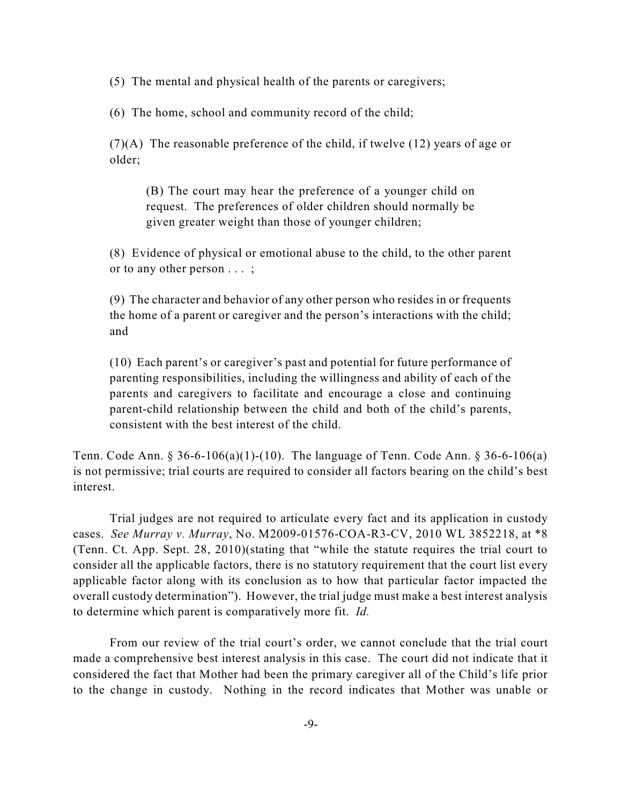(5) The mental and physical health of the parents or caregivers;

(6) The home, school and community record of the child;

 $(7)(A)$  The reasonable preference of the child, if twelve (12) years of age or older;

(B) The court may hear the preference of a younger child on request. The preferences of older children should normally be given greater weight than those of younger children;

(8) Evidence of physical or emotional abuse to the child, to the other parent or to any other person . . . ;

(9) The character and behavior of any other person who resides in or frequents the home of a parent or caregiver and the person's interactions with the child; and

(10) Each parent's or caregiver's past and potential for future performance of parenting responsibilities, including the willingness and ability of each of the parents and caregivers to facilitate and encourage a close and continuing parent-child relationship between the child and both of the child's parents, consistent with the best interest of the child.

Tenn. Code Ann. § 36-6-106(a)(1)-(10). The language of Tenn. Code Ann. § 36-6-106(a) is not permissive; trial courts are required to consider all factors bearing on the child's best interest.

Trial judges are not required to articulate every fact and its application in custody cases. *See Murray v. Murray*, No. M2009-01576-COA-R3-CV, 2010 WL 3852218, at \*8 (Tenn. Ct. App. Sept. 28, 2010)(stating that "while the statute requires the trial court to consider all the applicable factors, there is no statutory requirement that the court list every applicable factor along with its conclusion as to how that particular factor impacted the overall custody determination"). However, the trial judge must make a best interest analysis to determine which parent is comparatively more fit. *Id.*

From our review of the trial court's order, we cannot conclude that the trial court made a comprehensive best interest analysis in this case. The court did not indicate that it considered the fact that Mother had been the primary caregiver all of the Child's life prior to the change in custody. Nothing in the record indicates that Mother was unable or